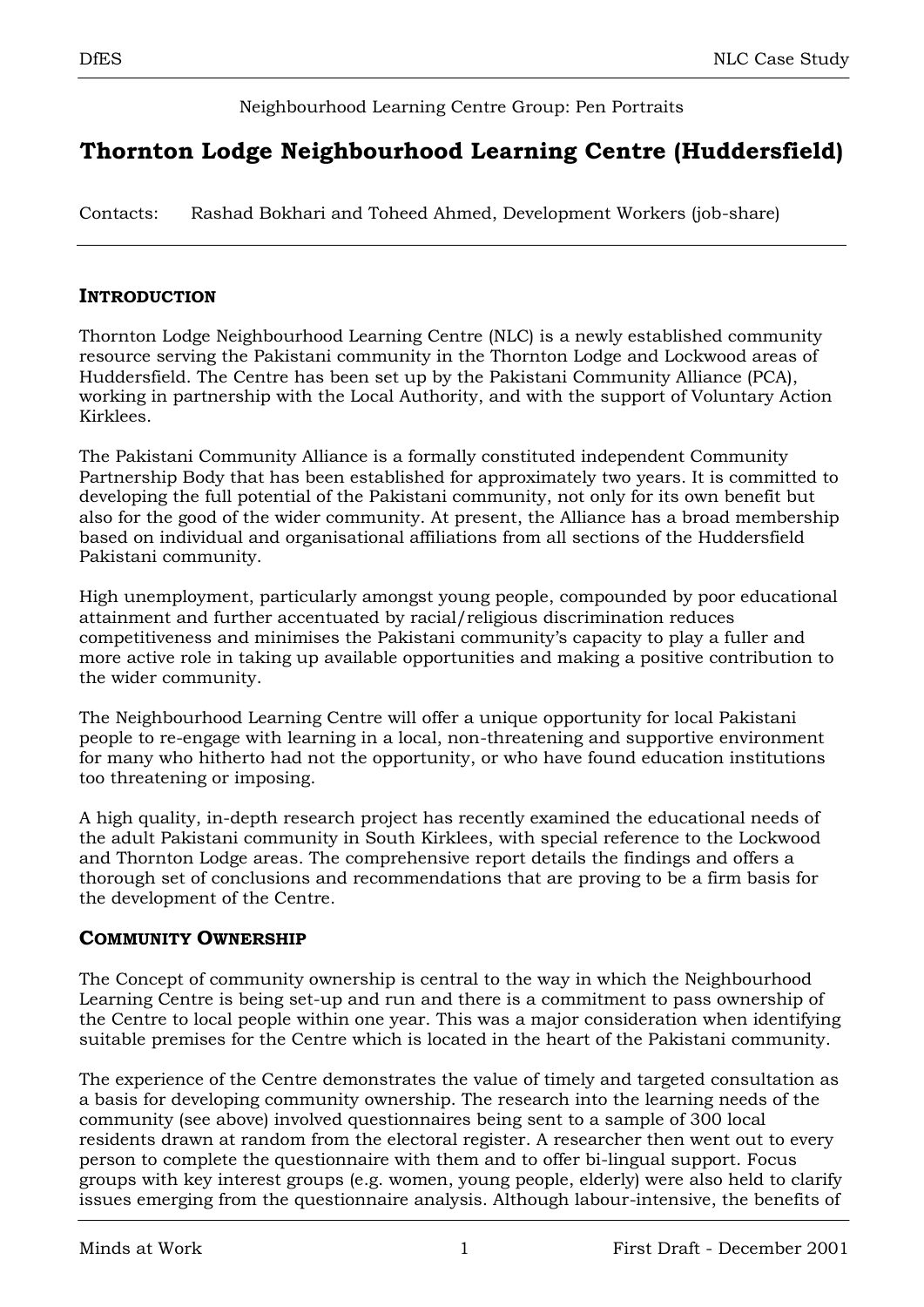## Neighbourhood Learning Centre Group: Pen Portraits

# **Thornton Lodge Neighbourhood Learning Centre (Huddersfield)**

Contacts: Rashad Bokhari and Toheed Ahmed, Development Workers (job-share)

#### **INTRODUCTION**

Thornton Lodge Neighbourhood Learning Centre (NLC) is a newly established community resource serving the Pakistani community in the Thornton Lodge and Lockwood areas of Huddersfield. The Centre has been set up by the Pakistani Community Alliance (PCA), working in partnership with the Local Authority, and with the support of Voluntary Action Kirklees.

The Pakistani Community Alliance is a formally constituted independent Community Partnership Body that has been established for approximately two years. It is committed to developing the full potential of the Pakistani community, not only for its own benefit but also for the good of the wider community. At present, the Alliance has a broad membership based on individual and organisational affiliations from all sections of the Huddersfield Pakistani community.

High unemployment, particularly amongst young people, compounded by poor educational attainment and further accentuated by racial/religious discrimination reduces competitiveness and minimises the Pakistani community"s capacity to play a fuller and more active role in taking up available opportunities and making a positive contribution to the wider community.

The Neighbourhood Learning Centre will offer a unique opportunity for local Pakistani people to re-engage with learning in a local, non-threatening and supportive environment for many who hitherto had not the opportunity, or who have found education institutions too threatening or imposing.

A high quality, in-depth research project has recently examined the educational needs of the adult Pakistani community in South Kirklees, with special reference to the Lockwood and Thornton Lodge areas. The comprehensive report details the findings and offers a thorough set of conclusions and recommendations that are proving to be a firm basis for the development of the Centre.

## **COMMUNITY OWNERSHIP**

The Concept of community ownership is central to the way in which the Neighbourhood Learning Centre is being set-up and run and there is a commitment to pass ownership of the Centre to local people within one year. This was a major consideration when identifying suitable premises for the Centre which is located in the heart of the Pakistani community.

The experience of the Centre demonstrates the value of timely and targeted consultation as a basis for developing community ownership. The research into the learning needs of the community (see above) involved questionnaires being sent to a sample of 300 local residents drawn at random from the electoral register. A researcher then went out to every person to complete the questionnaire with them and to offer bi-lingual support. Focus groups with key interest groups (e.g. women, young people, elderly) were also held to clarify issues emerging from the questionnaire analysis. Although labour-intensive, the benefits of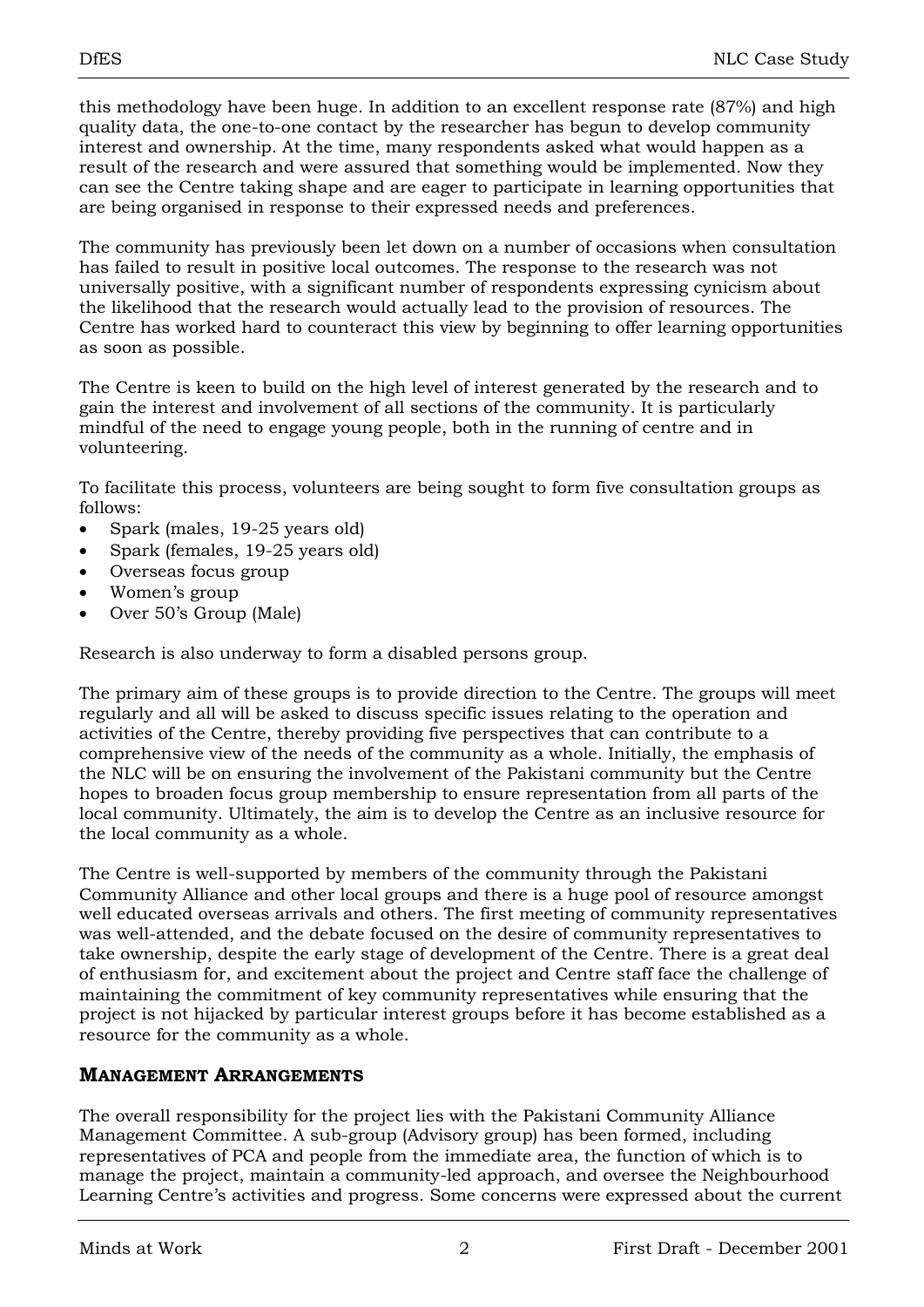this methodology have been huge. In addition to an excellent response rate (87%) and high quality data, the one-to-one contact by the researcher has begun to develop community interest and ownership. At the time, many respondents asked what would happen as a result of the research and were assured that something would be implemented. Now they can see the Centre taking shape and are eager to participate in learning opportunities that are being organised in response to their expressed needs and preferences.

The community has previously been let down on a number of occasions when consultation has failed to result in positive local outcomes. The response to the research was not universally positive, with a significant number of respondents expressing cynicism about the likelihood that the research would actually lead to the provision of resources. The Centre has worked hard to counteract this view by beginning to offer learning opportunities as soon as possible.

The Centre is keen to build on the high level of interest generated by the research and to gain the interest and involvement of all sections of the community. It is particularly mindful of the need to engage young people, both in the running of centre and in volunteering.

To facilitate this process, volunteers are being sought to form five consultation groups as follows:

- Spark (males, 19-25 years old)
- Spark (females, 19-25 years old)
- Overseas focus group
- Women's group
- Over 50"s Group (Male)

Research is also underway to form a disabled persons group.

The primary aim of these groups is to provide direction to the Centre. The groups will meet regularly and all will be asked to discuss specific issues relating to the operation and activities of the Centre, thereby providing five perspectives that can contribute to a comprehensive view of the needs of the community as a whole. Initially, the emphasis of the NLC will be on ensuring the involvement of the Pakistani community but the Centre hopes to broaden focus group membership to ensure representation from all parts of the local community. Ultimately, the aim is to develop the Centre as an inclusive resource for the local community as a whole.

The Centre is well-supported by members of the community through the Pakistani Community Alliance and other local groups and there is a huge pool of resource amongst well educated overseas arrivals and others. The first meeting of community representatives was well-attended, and the debate focused on the desire of community representatives to take ownership, despite the early stage of development of the Centre. There is a great deal of enthusiasm for, and excitement about the project and Centre staff face the challenge of maintaining the commitment of key community representatives while ensuring that the project is not hijacked by particular interest groups before it has become established as a resource for the community as a whole.

#### **MANAGEMENT ARRANGEMENTS**

The overall responsibility for the project lies with the Pakistani Community Alliance Management Committee. A sub-group (Advisory group) has been formed, including representatives of PCA and people from the immediate area, the function of which is to manage the project, maintain a community-led approach, and oversee the Neighbourhood Learning Centre's activities and progress. Some concerns were expressed about the current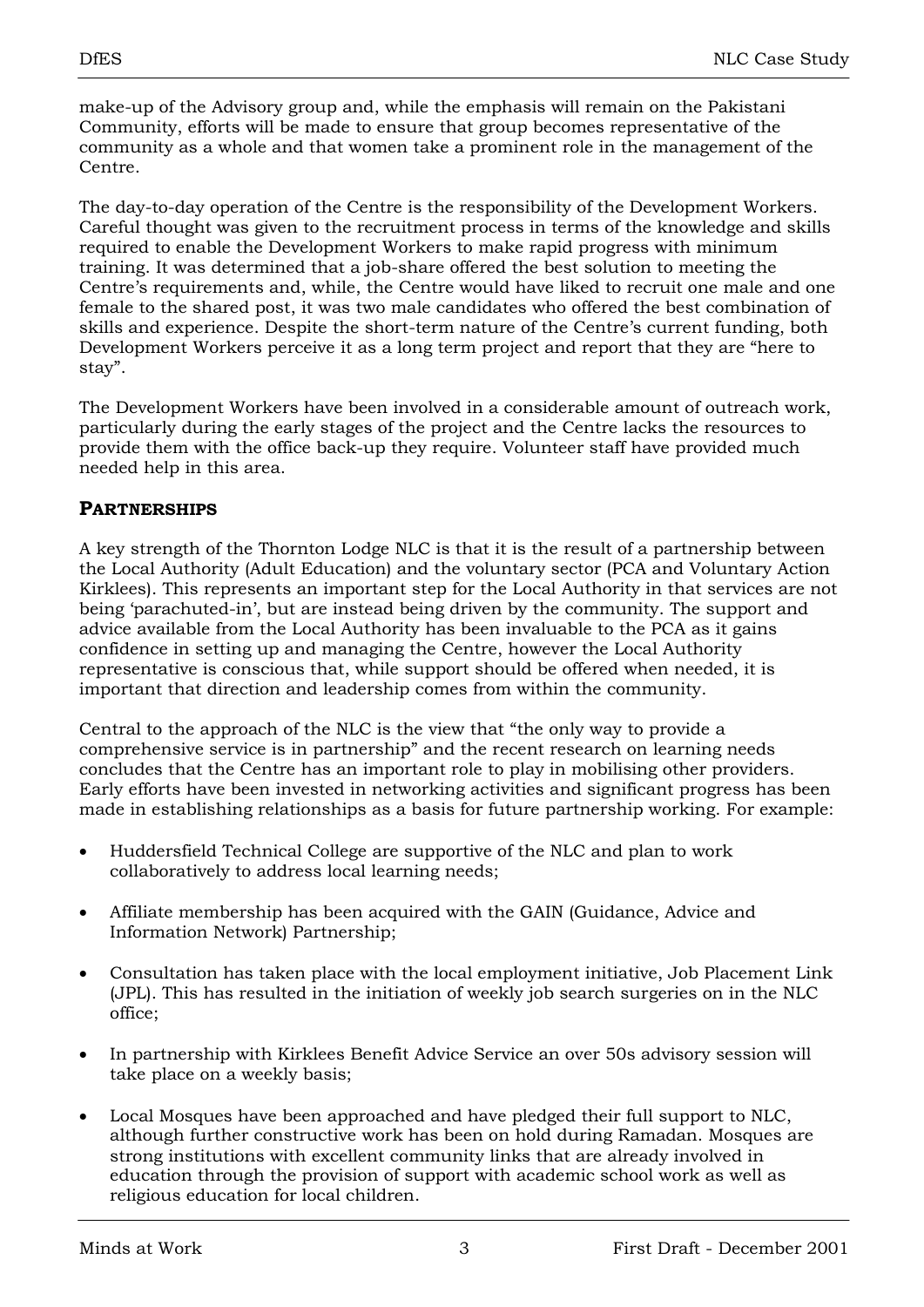make-up of the Advisory group and, while the emphasis will remain on the Pakistani Community, efforts will be made to ensure that group becomes representative of the community as a whole and that women take a prominent role in the management of the Centre.

The day-to-day operation of the Centre is the responsibility of the Development Workers. Careful thought was given to the recruitment process in terms of the knowledge and skills required to enable the Development Workers to make rapid progress with minimum training. It was determined that a job-share offered the best solution to meeting the Centre's requirements and, while, the Centre would have liked to recruit one male and one female to the shared post, it was two male candidates who offered the best combination of skills and experience. Despite the short-term nature of the Centre's current funding, both Development Workers perceive it as a long term project and report that they are "here to stay".

The Development Workers have been involved in a considerable amount of outreach work, particularly during the early stages of the project and the Centre lacks the resources to provide them with the office back-up they require. Volunteer staff have provided much needed help in this area.

# **PARTNERSHIPS**

A key strength of the Thornton Lodge NLC is that it is the result of a partnership between the Local Authority (Adult Education) and the voluntary sector (PCA and Voluntary Action Kirklees). This represents an important step for the Local Authority in that services are not being "parachuted-in", but are instead being driven by the community. The support and advice available from the Local Authority has been invaluable to the PCA as it gains confidence in setting up and managing the Centre, however the Local Authority representative is conscious that, while support should be offered when needed, it is important that direction and leadership comes from within the community.

Central to the approach of the NLC is the view that "the only way to provide a comprehensive service is in partnership" and the recent research on learning needs concludes that the Centre has an important role to play in mobilising other providers. Early efforts have been invested in networking activities and significant progress has been made in establishing relationships as a basis for future partnership working. For example:

- Huddersfield Technical College are supportive of the NLC and plan to work collaboratively to address local learning needs;
- Affiliate membership has been acquired with the GAIN (Guidance, Advice and Information Network) Partnership;
- Consultation has taken place with the local employment initiative, Job Placement Link (JPL). This has resulted in the initiation of weekly job search surgeries on in the NLC office;
- In partnership with Kirklees Benefit Advice Service an over 50s advisory session will take place on a weekly basis;
- Local Mosques have been approached and have pledged their full support to NLC, although further constructive work has been on hold during Ramadan. Mosques are strong institutions with excellent community links that are already involved in education through the provision of support with academic school work as well as religious education for local children.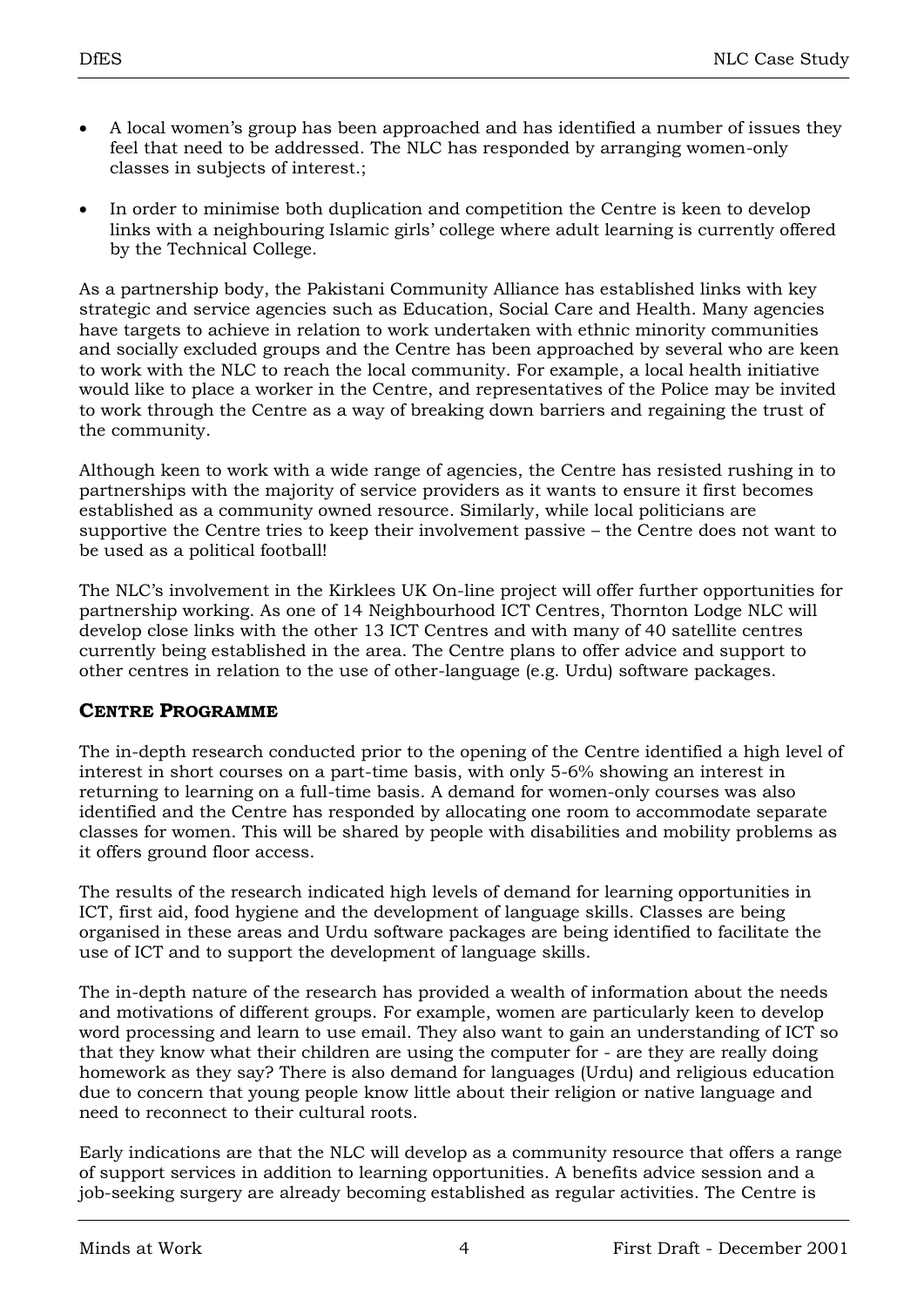- A local women"s group has been approached and has identified a number of issues they feel that need to be addressed. The NLC has responded by arranging women-only classes in subjects of interest.;
- In order to minimise both duplication and competition the Centre is keen to develop links with a neighbouring Islamic girls" college where adult learning is currently offered by the Technical College.

As a partnership body, the Pakistani Community Alliance has established links with key strategic and service agencies such as Education, Social Care and Health. Many agencies have targets to achieve in relation to work undertaken with ethnic minority communities and socially excluded groups and the Centre has been approached by several who are keen to work with the NLC to reach the local community. For example, a local health initiative would like to place a worker in the Centre, and representatives of the Police may be invited to work through the Centre as a way of breaking down barriers and regaining the trust of the community.

Although keen to work with a wide range of agencies, the Centre has resisted rushing in to partnerships with the majority of service providers as it wants to ensure it first becomes established as a community owned resource. Similarly, while local politicians are supportive the Centre tries to keep their involvement passive – the Centre does not want to be used as a political football!

The NLC"s involvement in the Kirklees UK On-line project will offer further opportunities for partnership working. As one of 14 Neighbourhood ICT Centres, Thornton Lodge NLC will develop close links with the other 13 ICT Centres and with many of 40 satellite centres currently being established in the area. The Centre plans to offer advice and support to other centres in relation to the use of other-language (e.g. Urdu) software packages.

## **CENTRE PROGRAMME**

The in-depth research conducted prior to the opening of the Centre identified a high level of interest in short courses on a part-time basis, with only 5-6% showing an interest in returning to learning on a full-time basis. A demand for women-only courses was also identified and the Centre has responded by allocating one room to accommodate separate classes for women. This will be shared by people with disabilities and mobility problems as it offers ground floor access.

The results of the research indicated high levels of demand for learning opportunities in ICT, first aid, food hygiene and the development of language skills. Classes are being organised in these areas and Urdu software packages are being identified to facilitate the use of ICT and to support the development of language skills.

The in-depth nature of the research has provided a wealth of information about the needs and motivations of different groups. For example, women are particularly keen to develop word processing and learn to use email. They also want to gain an understanding of ICT so that they know what their children are using the computer for - are they are really doing homework as they say? There is also demand for languages (Urdu) and religious education due to concern that young people know little about their religion or native language and need to reconnect to their cultural roots.

Early indications are that the NLC will develop as a community resource that offers a range of support services in addition to learning opportunities. A benefits advice session and a job-seeking surgery are already becoming established as regular activities. The Centre is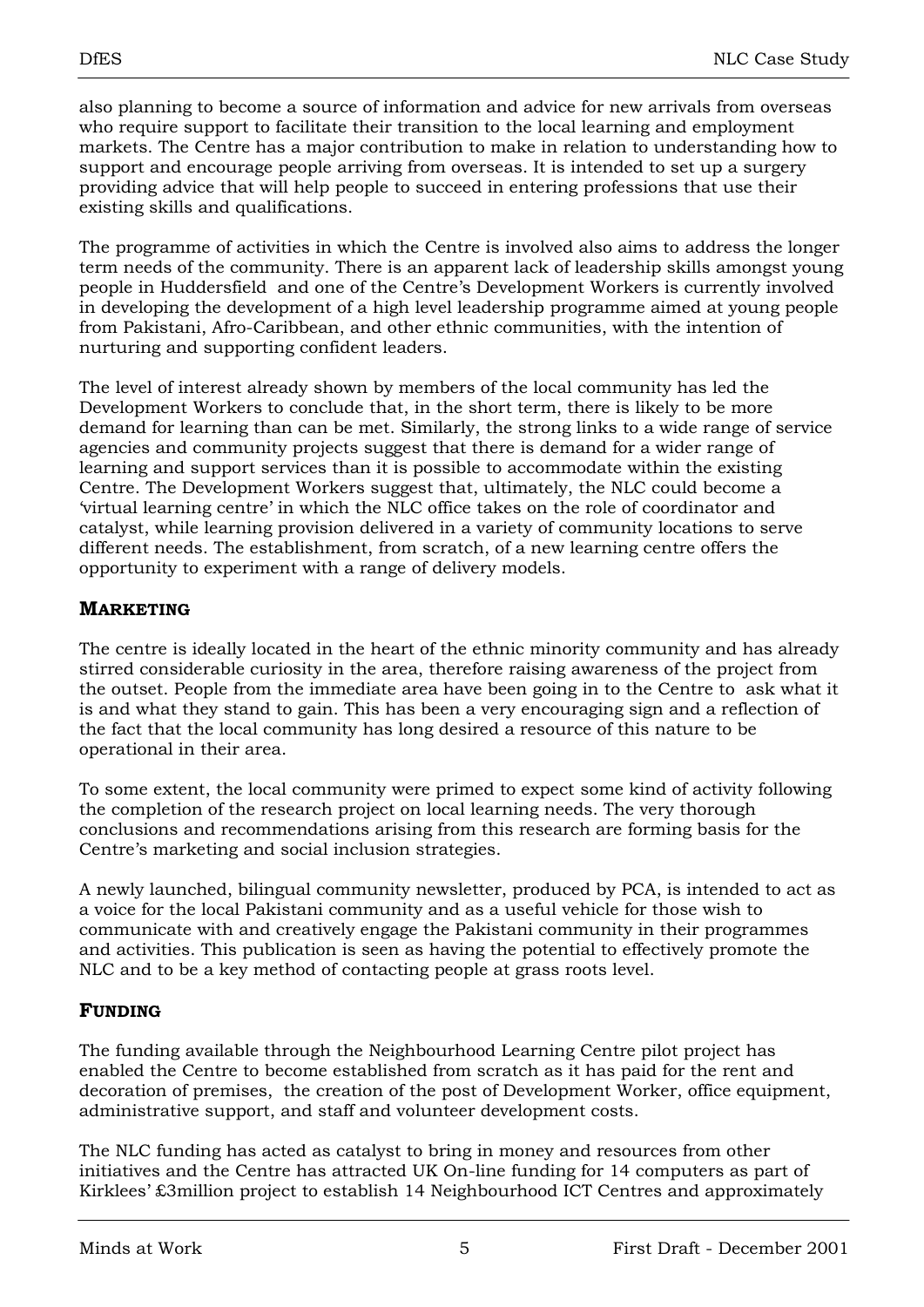also planning to become a source of information and advice for new arrivals from overseas who require support to facilitate their transition to the local learning and employment markets. The Centre has a major contribution to make in relation to understanding how to support and encourage people arriving from overseas. It is intended to set up a surgery providing advice that will help people to succeed in entering professions that use their existing skills and qualifications.

The programme of activities in which the Centre is involved also aims to address the longer term needs of the community. There is an apparent lack of leadership skills amongst young people in Huddersfield and one of the Centre"s Development Workers is currently involved in developing the development of a high level leadership programme aimed at young people from Pakistani, Afro-Caribbean, and other ethnic communities, with the intention of nurturing and supporting confident leaders.

The level of interest already shown by members of the local community has led the Development Workers to conclude that, in the short term, there is likely to be more demand for learning than can be met. Similarly, the strong links to a wide range of service agencies and community projects suggest that there is demand for a wider range of learning and support services than it is possible to accommodate within the existing Centre. The Development Workers suggest that, ultimately, the NLC could become a "virtual learning centre" in which the NLC office takes on the role of coordinator and catalyst, while learning provision delivered in a variety of community locations to serve different needs. The establishment, from scratch, of a new learning centre offers the opportunity to experiment with a range of delivery models.

## **MARKETING**

The centre is ideally located in the heart of the ethnic minority community and has already stirred considerable curiosity in the area, therefore raising awareness of the project from the outset. People from the immediate area have been going in to the Centre to ask what it is and what they stand to gain. This has been a very encouraging sign and a reflection of the fact that the local community has long desired a resource of this nature to be operational in their area.

To some extent, the local community were primed to expect some kind of activity following the completion of the research project on local learning needs. The very thorough conclusions and recommendations arising from this research are forming basis for the Centre"s marketing and social inclusion strategies.

A newly launched, bilingual community newsletter, produced by PCA, is intended to act as a voice for the local Pakistani community and as a useful vehicle for those wish to communicate with and creatively engage the Pakistani community in their programmes and activities. This publication is seen as having the potential to effectively promote the NLC and to be a key method of contacting people at grass roots level.

## **FUNDING**

The funding available through the Neighbourhood Learning Centre pilot project has enabled the Centre to become established from scratch as it has paid for the rent and decoration of premises, the creation of the post of Development Worker, office equipment, administrative support, and staff and volunteer development costs.

The NLC funding has acted as catalyst to bring in money and resources from other initiatives and the Centre has attracted UK On-line funding for 14 computers as part of Kirklees' £3million project to establish 14 Neighbourhood ICT Centres and approximately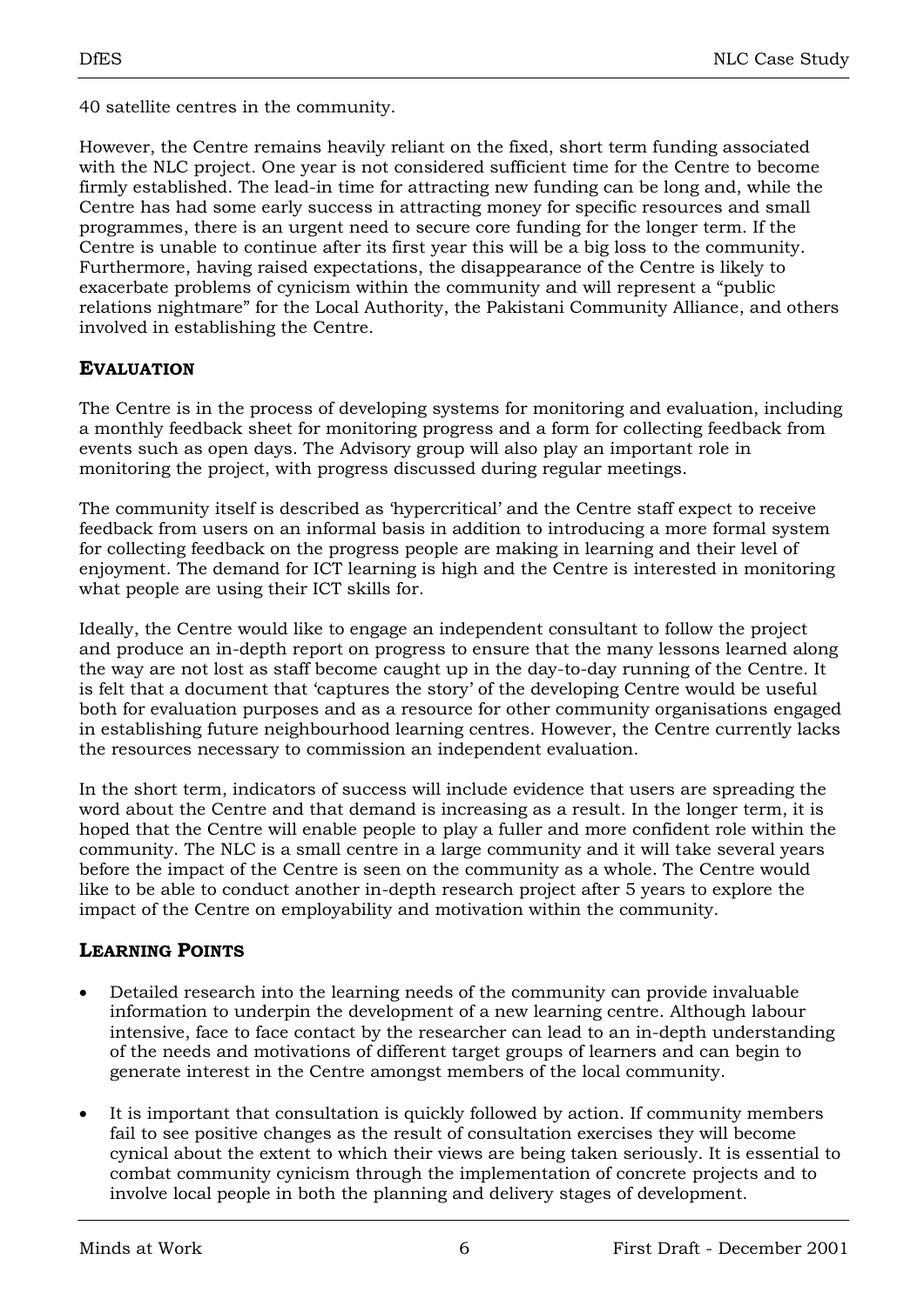40 satellite centres in the community.

However, the Centre remains heavily reliant on the fixed, short term funding associated with the NLC project. One year is not considered sufficient time for the Centre to become firmly established. The lead-in time for attracting new funding can be long and, while the Centre has had some early success in attracting money for specific resources and small programmes, there is an urgent need to secure core funding for the longer term. If the Centre is unable to continue after its first year this will be a big loss to the community. Furthermore, having raised expectations, the disappearance of the Centre is likely to exacerbate problems of cynicism within the community and will represent a "public relations nightmare" for the Local Authority, the Pakistani Community Alliance, and others involved in establishing the Centre.

#### **EVALUATION**

The Centre is in the process of developing systems for monitoring and evaluation, including a monthly feedback sheet for monitoring progress and a form for collecting feedback from events such as open days. The Advisory group will also play an important role in monitoring the project, with progress discussed during regular meetings.

The community itself is described as "hypercritical" and the Centre staff expect to receive feedback from users on an informal basis in addition to introducing a more formal system for collecting feedback on the progress people are making in learning and their level of enjoyment. The demand for ICT learning is high and the Centre is interested in monitoring what people are using their ICT skills for.

Ideally, the Centre would like to engage an independent consultant to follow the project and produce an in-depth report on progress to ensure that the many lessons learned along the way are not lost as staff become caught up in the day-to-day running of the Centre. It is felt that a document that "captures the story" of the developing Centre would be useful both for evaluation purposes and as a resource for other community organisations engaged in establishing future neighbourhood learning centres. However, the Centre currently lacks the resources necessary to commission an independent evaluation.

In the short term, indicators of success will include evidence that users are spreading the word about the Centre and that demand is increasing as a result. In the longer term, it is hoped that the Centre will enable people to play a fuller and more confident role within the community. The NLC is a small centre in a large community and it will take several years before the impact of the Centre is seen on the community as a whole. The Centre would like to be able to conduct another in-depth research project after 5 years to explore the impact of the Centre on employability and motivation within the community.

# **LEARNING POINTS**

- Detailed research into the learning needs of the community can provide invaluable information to underpin the development of a new learning centre. Although labour intensive, face to face contact by the researcher can lead to an in-depth understanding of the needs and motivations of different target groups of learners and can begin to generate interest in the Centre amongst members of the local community.
- It is important that consultation is quickly followed by action. If community members fail to see positive changes as the result of consultation exercises they will become cynical about the extent to which their views are being taken seriously. It is essential to combat community cynicism through the implementation of concrete projects and to involve local people in both the planning and delivery stages of development.